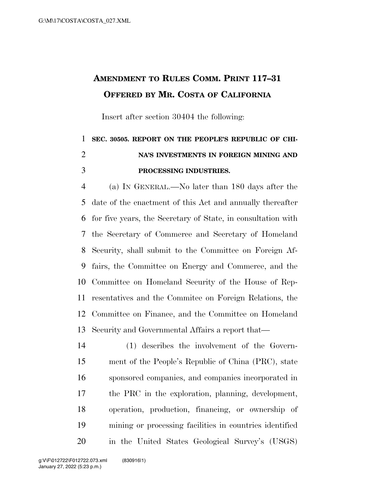## **AMENDMENT TO RULES COMM. PRINT 117–31 OFFERED BY MR. COSTA OF CALIFORNIA**

Insert after section 30404 the following:

## **SEC. 30505. REPORT ON THE PEOPLE'S REPUBLIC OF CHI- NA'S INVESTMENTS IN FOREIGN MINING AND PROCESSING INDUSTRIES.**

 (a) IN GENERAL.—No later than 180 days after the date of the enactment of this Act and annually thereafter for five years, the Secretary of State, in consultation with the Secretary of Commerce and Secretary of Homeland Security, shall submit to the Committee on Foreign Af- fairs, the Committee on Energy and Commerce, and the Committee on Homeland Security of the House of Rep- resentatives and the Commitee on Foreign Relations, the Committee on Finance, and the Committee on Homeland Security and Governmental Affairs a report that—

 (1) describes the involvement of the Govern- ment of the People's Republic of China (PRC), state sponsored companies, and companies incorporated in the PRC in the exploration, planning, development, operation, production, financing, or ownership of mining or processing facilities in countries identified in the United States Geological Survey's (USGS)